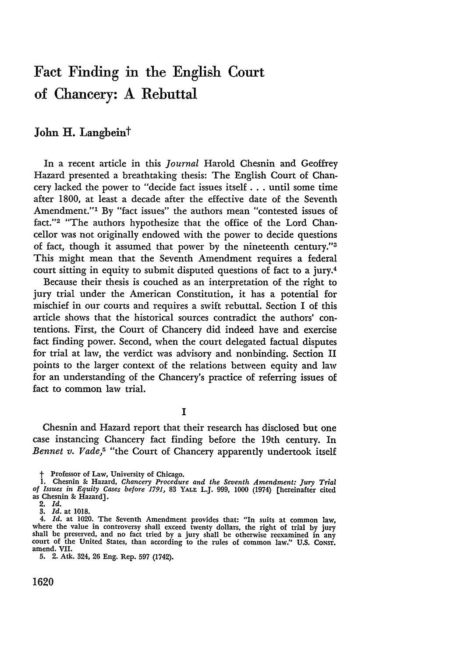## Fact Finding in the English Court of Chancery: **A** Rebuttal

#### **John** H. Langbeint

In a recent article in this *Journal* Harold Chesnin and Geoffrey Hazard presented a breathtaking thesis: The English Court of Chancery lacked the power to "decide fact issues itself... until some time after 1800, at least a decade after the effective date of the Seventh Amendment."1 By "fact issues" the authors mean "contested issues of fact."<sup>2</sup> "The authors hypothesize that the office of the Lord Chancellor was not originally endowed with the power to decide questions of fact, though it assumed that power by the nineteenth century."3 This might mean that the Seventh Amendment requires a federal court sitting in equity to submit disputed questions of fact to a jury.<sup>4</sup>

Because their thesis is couched as an interpretation of the right to jury trial under the American Constitution, it has a potential for mischief in our courts and requires a swift rebuttal. Section I of this article shows that the historical sources contradict the authors' contentions. First, the Court of Chancery did indeed have and exercise fact finding power. Second, when the court delegated factual disputes for trial at law, the verdict was advisory and nonbinding. Section II points to the larger context of the relations between equity and law for an understanding of the Chancery's practice of referring issues of fact to common law trial.

**I**

Chesnin and Hazard report that their research has disclosed but one case instancing Chancery fact finding before the 19th century. In *Bennet v. Vade,5* "the Court of Chancery apparently undertook itself

5. 2. Atk. 324, **26** Eng. Rep. **597** (1742).

1620

<sup>†</sup> Professor of Law, University of Chicago.<br>1. Chesnin & Hazard, Chancery Procedure and the Seventh Amendment: Jury Trial<br>1. Stues in Equity Cases before 1791, 83 YALE L.J. 999, 1000 (1974) [hereinafter cited as Chesnin **&** Hazard].

<sup>2.</sup> *Id. 3. Id.* at 1018.

<sup>4.</sup> *Id.* at 1020. The Seventh Amendment provides that: "In suits at common law, where the value in controversy shall exceed twenty dollars, the right of trial **by** jury shall be preserved, and no fact tried **by** a jury shall be otherwise reexamined in any court of the United States, than according to the rules of common law." **U.S.** CoNsr. amend. VII.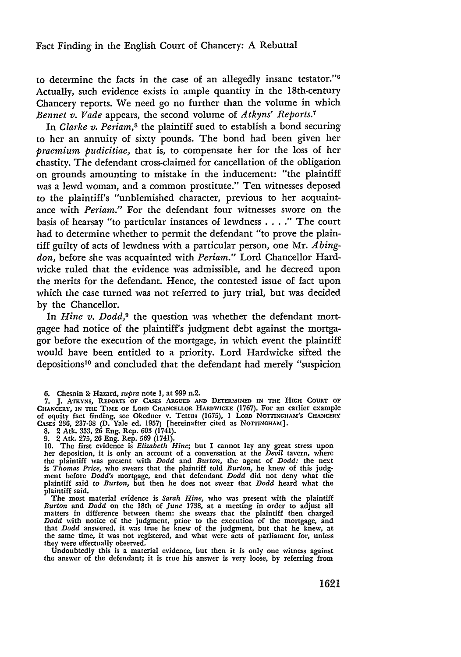to determine the facts in the case of an allegedly insane testator."6 Actually, such evidence exists in ample quantity in the 18th-century Chancery reports. We need go no further than the volume in which *Bennet v. Vade* appears, the second volume of *Atkyns' Reports.7*

In *Clarke v. Periam*,<sup>8</sup> the plaintiff sued to establish a bond securing to her an annuity of sixty pounds. The bond had been given her *praemium pudicitiae,* that is, to compensate her for the loss of her chastity. The defendant cross-claimed for cancellation of the obligation on grounds amounting to mistake in the inducement: "the plaintiff was a lewd woman, and a common prostitute." Ten witnesses deposed to the plaintiff's "unblemished character, previous to her acquaintance with *Periam."* For the defendant four witnesses swore on the basis of hearsay "to particular instances of lewdness . **. . ."** The court had to determine whether to permit the defendant "to prove the plaintiff guilty of acts of lewdness with a particular person, one Mr. *Abingdon,* before she was acquainted with *Periam."* Lord Chancellor Hardwicke ruled that the evidence was admissible, and he decreed upon the merits for the defendant. Hence, the contested issue of fact upon which the case turned was not referred to jury trial, but was decided by the Chancellor.

In *Hine v. Dodd*,<sup>9</sup> the question was whether the defendant mortgagee had notice of the plaintiff's judgment debt against the mortgagor before the execution of the mortgage, in which event the plaintiff would have been entitled to a priority. Lord Hardwicke sifted the depositions'0 and concluded that the defendant had merely "suspicion

**8.** 2 Atk. 333, **26** Eng. Rep. **603** (1741).

the answer of the defendant; it is true his answer is very loose, by referring from

**<sup>6.</sup>** Chesnin & Hazard, *supra* note **1,** at **999** n.2.

**<sup>7.</sup> J.** ATKYNS, REPORTS OF CASES **ARGUED AND DETERMINED** IN **THE** HIGH COURT OF CHANCERY, **IN THE TIME** OF LORD CHANCELLOR HARDWICKE (1767). For an earlier example of equity fact finding, see Okeduer v. Tettus **(1675), 1** LoRD NO TINGHAM'S CHANCERY CASES **236, 237-38 (D.** Yale **ed. 1957)** [hereinafter cited as NOTTINGHAM].

**<sup>9.</sup>** 2 Atk. 275, 26 Eng. Rep. **569** (1741). **10.** The first evidence is *Elizabeth Hine;* but I cannot lay any great stress upon her deposition, it is only an account of a conversation at the *Devil* tavern, where the plaintiff was present with *Dodd* and *Burton,* the agent of *Dodd:* the next is *Thomas Price,* who swears that the plaintiff told *Burton,* he knew of this **judg**ment before *Dodd's* mortgage, and that defendant *Dodd* did not deny what the plaintiff said to *Burton,* but then he does not swear that *Dodd* heard what the plaintiff said.

The most material evidence is *Sarah Hine,* who was present with the plaintiff *Burton* and *Dodd* on the 18th of *June* **1738,** at a meeting in order to adjust all matters in difference between them: she swears that the plaintiff then charged *Dodd* with notice of the judgment, prior to the execution of the mortgage, and that *Dodd* answered, it was true he knew of the judgment, but that he knew, at the same time, it was not registered, and what were acts of parliament for, unless they were effectually observed. Undoubtedly this is a material evidence, but then it is only one witness against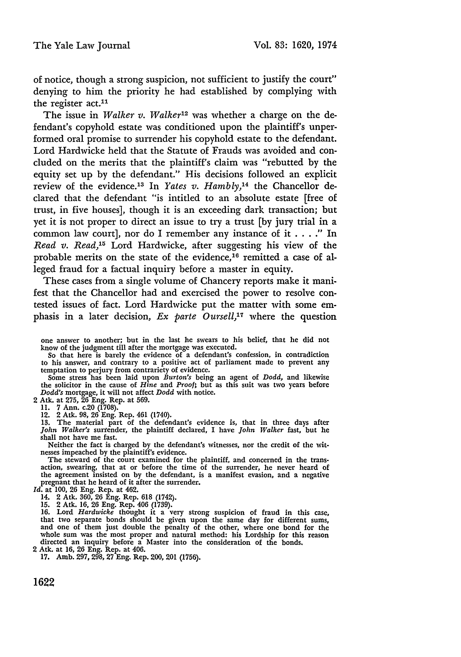of notice, though a strong suspicion, not sufficient to justify the court" denying to him the priority he had established by complying with the register act.<sup>11</sup>

The issue in *Walker v. Walker*<sup>12</sup> was whether a charge on the defendant's copyhold estate was conditioned upon the plaintiff's unperformed oral promise to surrender his copyhold estate to the defendant. Lord Hardwicke held that the Statute of Frauds was avoided and concluded on the merits that the plaintiff's claim was "rebutted by the equity set up by the defendant." His decisions followed an explicit review of the evidence.<sup>13</sup> In *Yates v. Hambly*,<sup>14</sup> the Chancellor declared that the defendant "is intitled to an absolute estate [free of trust, in five houses], though it is an exceeding dark transaction; but yet it is not proper to direct an issue to try a trust [by jury trial in a common law court], nor do I remember any instance of it . . **."** In *Read v. Read,'3* Lord Hardwicke, after suggesting his view of the probable merits on the state of the evidence,<sup>16</sup> remitted a case of alleged fraud for a factual inquiry before a master in equity.

These cases from a single volume of Chancery reports make it manifest that the Chancellor had and exercised the power to resolve contested issues of fact. Lord Hardwicke put the matter with some emphasis in a later decision, *Ex parte Oursell,17* where the question

So that here is barely the evidence of a defendant's confession, in contradiction to his answer, and contrary to a positive act of parliament made to prevent any

temptation to perjury from contrariety of evidence.<br>Some stress has been laid upon *Burton's* being an agent of *Dodd*, and likewise<br>the solicitor in the cause of *Hine* and *Proof*; but as this suit was two years before *Dodd's* mortgage, it will not affect *Dodd* with notice.

2 Atk. at 275, 26 Eng. Rep. at 569. 11. 7 Ann. c.20 (1708). 12. 2 Atk. 98, 26 Eng. Rep. 461 (1740).

13. The material part of the defendant's evidence is, that in three days after *John Walker's* surrender, the plaintiff declared, I have *John Walker* fast, but he shall not have me fast.

Neither the fact is charged by the defendant's witnesses, nor the credit of the wit-nesses impeached by the plaintiff's evidence.

The steward of the court examined for the plaintiff, and concerned in the transaction, swearing, that at or before the time of the surrender, he never heard of the agreement insisted on by the defendant, is a manifest evasion, and a negative pregnant that he heard of it after the surrender. pregnant that he heard of it after the surrender. *Id.* at 100, 26 Eng. Rep. at 462.

14. 2 Atk. 360, 26 Eng. Rep. 618 (1742).

15. 2 Atk. 16, 26 Eng. Rep. 406 (1739). 16. Lord *Hardwicke* thought it a very strong suspicion of fraud in this case, that two separate bonds should be given upon the same day for different sums, and one of them just double the penalty of the other, where one bond for the whole sum was the most proper and natural method: his Lordship for this reason directed an inquiry before a Master into the consideration of the bonds.

2 Atk. at 16, 26 Eng. Rep. at 406. 17. Amb. 297, 298, 27 Eng. Rep. 200, 201 (1756).

one answer to another; but in the last he swears to his belief, that he did not know of the judgment till after the mortgage was executed.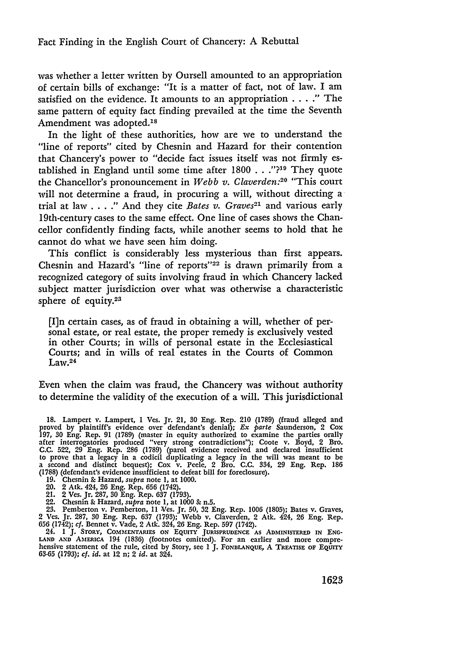was whether a letter written by Oursell amounted to an appropriation of certain bills of exchange: "It is a matter of fact, not of law. I am satisfied on the evidence. It amounts to an appropriation .... " The same pattern of equity fact finding prevailed at the time the Seventh Amendment was adopted.<sup>18</sup>

In the light of these authorities, how are we to understand the "line of reports" cited by Chesnin and Hazard for their contention that Chancery's power to "decide fact issues itself was not firmly established in England until some time after **1800** . . **."?19** They quote the Chancellor's pronouncement in *Webb v. Claverden:20* "This court will not determine a fraud, in procuring a will, without directing a trial at law . **. . ."** And they cite *Bates v. Graves21* and various early 19th-century cases to the same effect. One line of cases shows the Chancellor confidently finding facts, while another seems to hold that he cannot do what we have seen him doing.

This conflict is considerably less mysterious than first appears. Chesnin and Hazard's "line of reports" $22$  is drawn primarily from a recognized category of suits involving fraud in which Chancery lacked subject matter jurisdiction over what was otherwise a characteristic sphere of equity.<sup>23</sup>

[I]n certain cases, as of fraud in obtaining a will, whether of personal estate, or real estate, the proper remedy is exclusively vested in other Courts; in wills of personal estate in the Ecclesiastical Courts; and in wills of real estates in the Courts of Common Law. <sup>24</sup>

Even when the claim was fraud, the Chancery was without authority to determine the validity of the execution of a will. This jurisdictional

*19.* Chesnin & Hazard, *supra* note **1,** at **1000.**

- 
- 20. 2 Atk. 424, 26 Eng. Rep. 656 (1742). 21. 2 Ves. Jr. 287, *10* Eng. Rep. 637 (1793).
- 

22. Chesnin & Hazard, *supra* note 1, at 1000 & n.5.<br>23. Pemberton v. Pemberton, 11 Ves. Jr. 50, 32 Eng. Rep. 1006 (1805); Bates v. Graves<br>2 Ves. Jr. 287, 30 Eng. Rep. 637 (1793); Webb v. Claverden, 2 Atk. 424, 26 Eng. Rep

24. I J. STORY, COMMENTARIES ON EQUITY JURISPRUDENCE AS ADMINISTERED IN ENGLAND AND AMERICA 194 (1836) (footnotes omitted). For an earlier and more compre-<br>hensive statement of the rule, cited by Story, see 1 J. FONBLANQU

<sup>18.</sup> Lampert v. Lampert, **I** Ves. Jr. 21, 30 Eng. Rep. 210 (1789) (fraud alleged and proved by plaintiff's evidence over defendant's denial); *Ex parte* Saunderson, 2 Cox 197, 30 Eng. Rep. 91 (1789) (master in equity authorized to examine the parties orally after interrogatories produced "very strong contr C.C. 522, 29 Eng. Rep. 286 (1789) (parol evidence received and declared insufficient to prove that a legacy in a codicil duplicating a legacy in the will was meant to be a second and distinct bequest); Cox v. Peele, 2 Bro. C.C. 334, 29 Eng. Rep. **186** (1788) (defendant's evidence insufficient to defeat bill for foreclosure).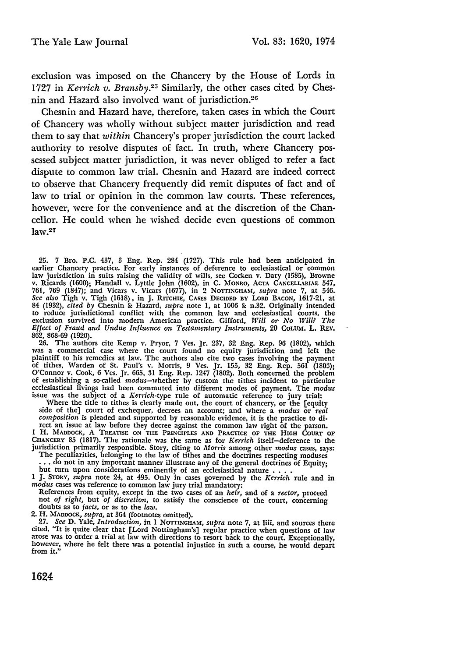exclusion was imposed on the Chancery by the House of Lords in 1727 in *Kerrich v. Bransby.25* Similarly, the other cases cited by Chesnin and Hazard also involved want of jurisdiction.<sup>26</sup>

Chesnin and Hazard have, therefore, taken cases in which the Court of Chancery was wholly without subject matter jurisdiction and read them to say that *within* Chancery's proper jurisdiction the court lacked authority to resolve disputes of fact. In truth, where Chancery possessed subject matter jurisdiction, it was never obliged to refer a fact dispute to common law trial. Chesnin and Hazard are indeed correct to observe that Chancery frequently did remit disputes of fact and of law to trial or opinion in the common law courts. These references, however, were for the convenience and at the discretion of the Chancellor. He could when he wished decide even questions of common law.27

25. 7 Bro. P.C. 437, 3 Eng. Rep. 284 (1727). This rule had been anticipated in earlier Chancery practice. For early instances of deference to ecclesiastical or common law jurisdiction in suits raising the validity of wills 761, 769 (1847); and Vicars v. Vicars (1677), in 2 NornNGHAM, *supra* note 7, at 546. *See also* Tigh v. Tigh (1618), in J. RITCHIE, CASEs **DECIDED By** LORD **BACON,** 1617-21, at 84 (1932), *cited by* Chesnin & Hazard, *supra* note 1, at 1006 **&** n.32. Originally intended to reduce jurisdictional conflict with the common law and ecclesiastical courts, the exclusion survived into modern American practice. Gifford, Will or No Will? The Effect of Fraud and Undue Influence on Testamentary Instr 862, 868-69 (1920)

**26.** The authors cite Kemp v. Pryor, 7 Ves. Jr. 237, 32 Eng. Rep. 96 (1802), which was a commercial case where the court found no equity jurisdiction and left the plaintiff to his remedies at law. The authors also cite two cases involving the payment of tithes, Warden of St. Paul's v. Morris, 9 Ves. Jr. 155, 32 Eng. Rep. 561 (1803) O'Connor v. Cook, 6 Ves. Jr. 665, 31 Eng. Rep. 1247 (1802). Both concerned the problem of establishing a so-called modus-whether by custom the tithes incident to particular ecclesiastical livings had been commuted into different modes of payment. The *modus* issue was the subject of a *Kerrich-type* rule of automatic reference to jury trial:

Where the title to tithes is clearly made out, the court of chancery, or the [equity] side of the] court of exchequer, decrees an account; and where a *modus* or *real composition* is pleaded and supported by reasonable evidence, it is the practice to di. rect an issue at law before they decree against the common law right of the parson.

1 H. MADDOCK, A TREATISE ON THE PRINCIPLES AND PRACTICE OF THE HIGH COURT OF CHANCERY 85 (1817). The rationale was the same as for *Kerrich* itself-deference to the jurisdiction primarily responsible. Story, citing to *Mo* 

but turn upon considerations eminently of an ecclesiastical nature **....** <sup>1</sup>**J.** STORY, *supra* note 24, at 495. Only in cases governed **by** the *Kerrich* rule and in

*modus* cases was reference to common law jury trial mandatory:

References from equity, except in the two cases of an *heir,* and of a *rector,* proceed not *of right,* but *of discretion,* to satisfy the conscience of the court, concerning

doubts as to facts, or as to the law.<br>
2. H. MADDOCK, supra, at 364 (footnotes omitted).<br>
27. See D. Yale, *Introduction*, in 1 NOTTINGHAM, supra note 7, at liii, and sources there<br>
cited. "It is quite clear that [Lord No however, where he felt there was a potential injustice in such a course, he would depart however, where he felt there was a potential injustice in such a course, he would depart from it."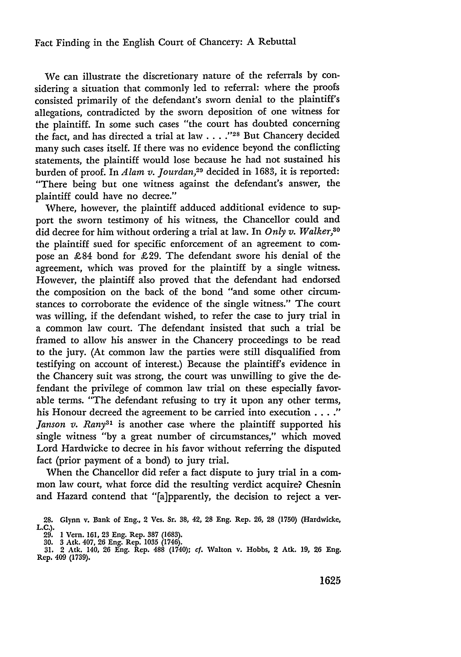#### Fact Finding in the English Court of Chancery: **A** Rebuttal

We can illustrate the discretionary nature of the referrals by considering a situation that commonly led to referral: where the proofs consisted primarily of the defendant's sworn denial to the plaintiff's allegations, contradicted by the sworn deposition of one witness for the plaintiff. In some such cases "the court has doubted concerning the fact, and has directed a trial at law . . . .<sup>"28</sup> But Chancery decided many such cases itself. If there was no evidence beyond the conflicting statements, the plaintiff would lose because he had not sustained his burden of proof. In *Alam v. Jourdan,29* decided in 1683, it is reported: "There being but one witness against the defendant's answer, the plaintiff could have no decree."

Where, however, the plaintiff adduced additional evidence to support the sworn testimony of his witness, the Chancellor could and did decree for him without ordering a trial at law. In *Only v. Walker,30* the plaintiff sued for specific enforcement of an agreement to compose an £84 bond for £29. The defendant swore his denial of the agreement, which was proved for the plaintiff by a single witness. However, the plaintiff also proved that the defendant had endorsed the composition on the back of the bond "and some other circumstances to corroborate the evidence of the single witness." The court was willing, if the defendant wished, to refer the case to jury trial in a common law court. The defendant insisted that such a trial be framed to allow his answer in the Chancery proceedings to be read to the jury. (At common law the parties were still disqualified from testifying on account of interest.) Because the plaintiff's evidence in the Chancery suit was strong, the court was unwilling to give the defendant the privilege of common law trial on these especially favorable terms. "The defendant refusing to try it upon any other terms, his Honour decreed the agreement to be carried into execution . **... "** *Janson v. Rany3'* is another case where the plaintiff supported his single witness "by a great number of circumstances," which moved Lord Hardwicke to decree in his favor without referring the disputed fact (prior payment of a bond) to jury trial.

When the Chancellor did refer a fact dispute to jury trial in a common law court, what force did the resulting verdict acquire? Chesnin and Hazard contend that "[a]pparently, the decision to reject a ver-

**<sup>28.</sup>** Glynn v. Bank of Eng., 2 Ves. Sr. **38,** 42, **28** Eng. Rep. **26, 28** (1750) (Hardwicke, **L.C.).**

**<sup>29.</sup>** 1 Vern. **161, 23** Eng. Rep. 387 **(1683). 30.** 3 Ack. 407, 26 Eng. Rep. **1035** (1746).

**<sup>31.</sup>** 2 Atk. 140, **26** Eng. Rep. **488** (1740); *cf.* Walton v. Hobbs, 2 Atk. **19, 26** Eng. Rep. 409 (1739).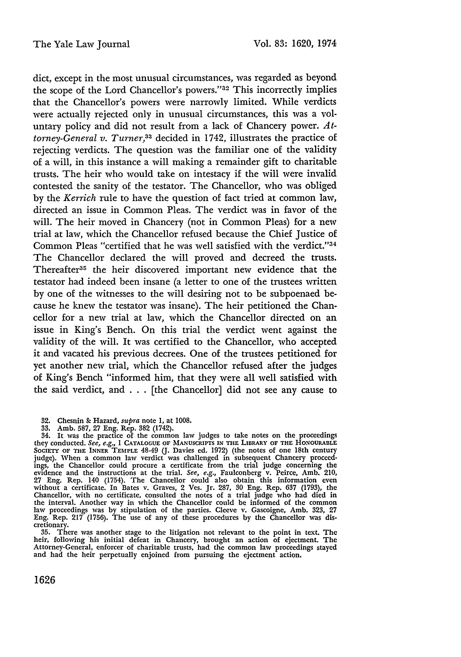dict, except in the most unusual circumstances, was regarded as beyond the scope of the Lord Chancellor's powers."<sup>32</sup> This incorrectly implies that the Chancellor's powers were narrowly limited. While verdicts were actually rejected only in unusual circumstances, this was a voluntary policy and did not result from a lack of Chancery power. *Attorney-General v. Turner,33* decided in 1742, illustrates the practice of rejecting verdicts. The question was the familiar one of the validity of a will, in this instance a will making a remainder gift to charitable trusts. The heir who would take on intestacy if the will were invalid contested the sanity of the testator. The Chancellor, who was obliged by the *Kerrich* rule to have the question of fact tried at common law, directed an issue in Common Pleas. The verdict was in favor of the will. The heir moved in Chancery (not in Common Pleas) for a new trial at law, which the Chancellor refused because the Chief Justice of Common Pleas "certified that he was well satisfied with the verdict."34 The Chancellor declared the will proved and decreed the trusts. Thereafter<sup>35</sup> the heir discovered important new evidence that the testator had indeed been insane (a letter to one of the trustees written by one of the witnesses to the will desiring not to be subpoenaed because he knew the testator was insane). The heir petitioned the Chancellor for a new trial at law, which the Chancellor directed on an issue in King's Bench. On this trial the verdict went against the validity of the will. It was certified to the Chancellor, who accepted it and vacated his previous decrees. One of the trustees petitioned for yet another new trial, which the Chancellor refused after the judges of King's Bench "informed him, that they were all well satisfied with the said verdict, and . . **.** [the Chancellor] did not see any cause to

- 32. Chesnin **&** Hazard, supra note 1, at 1008.
- 33. Amb. 587, 27 Eng. Rep. 382 (1742).

34. It was the practice of the common law judges to take notes on the proceedings they conducted. See, e.g., I **CATALOGUE OF MANUSCRIPTS IN THE LIBRARY OF THE HONOURABLE SOCIETY OF THE INNER TEMPLE** 48-49 (J. Davies ed. 1972) (the notes of one 18th century judge). When a common law verdict was challenged in subsequent Chancery proceed-ings, the Chancellor could procure a certificate from the trial judge concerning the evidence and the instructions at the trial. See, e.g., Faulconberg v. Peirce, Amb. 210, 27 Eng. Rep. 140 (1754). The Chancellor could also obtain this information even<br>without a certificate. In Bates v. Graves, 2 Ves. Jr. 287, 30 Eng. Rep. 637 (1793), the<br>Chancellor, with no certificate, consulted the notes o law proceedings was by stipulation of the parties. Cleeve v. Gascoigne, Amb. 323, 27 Eng. Rep. 217 (1756). The use of any of these procedures by the Chancellor was discretionary.

**35.** There was another stage to the litigation not relevant to the point in text. The heir, following 'his initial defeat in Chancery, brought an action of ejectment. The Attorney-General, enforcer of charitable trusts, had the common law proceedings stayed and had the heir perpetually enjoined from pursuing the ejectment action.

1626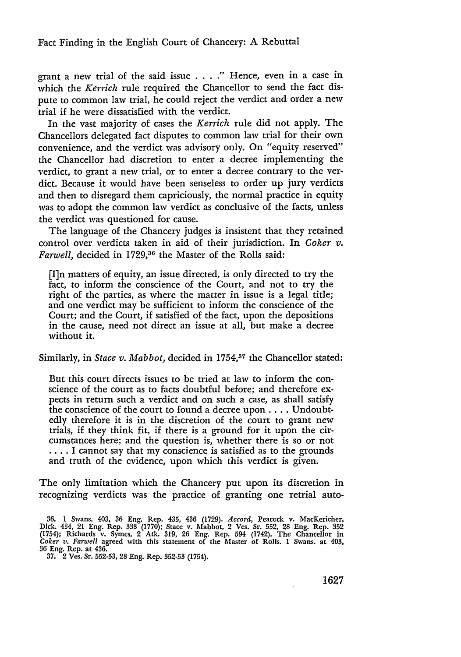grant a new trial of the said issue . **. . ."** Hence, even in a case in which the *Kerrich* rule required the Chancellor to send the fact dispute to common law trial, he could reject the verdict and order a new trial if he were dissatisfied with the verdict.

In the vast majority of cases the *Kerrich* rule did not apply. The Chancellors delegated fact disputes to common law trial for their own convenience, and the verdict was advisory only. On "equity reserved" the Chancellor had discretion to enter a decree implementing the verdict, to grant a new trial, or to enter a decree contrary to the verdict. Because it would have been senseless to order up jury verdicts and then to disregard them capriciously, the normal practice in equity was to adopt the common law verdict as conclusive of the facts, unless the verdict was questioned for cause.

The language of the Chancery judges is insistent that they retained control over verdicts taken in aid of their jurisdiction. In *Coker v.* Farwell, decided in 1729,<sup>36</sup> the Master of the Rolls said:

[I]n matters of equity, an issue directed, is only directed to try the fact, to inform the conscience of the Court, and not to try the right of the parties, as where the matter in issue is a legal title; and one verdict may be sufficient to inform the conscience of the Court; and the Court, if satisfied of the fact, upon the depositions in the cause, need not direct an issue at all, but make a decree without it.

Similarly, in *Stace v. Mabbot*, decided in 1754,<sup>37</sup> the Chancellor stated:

But this court directs issues to be tried at law to inform the conscience of the court as to facts doubtful before; and therefore expects in return such a verdict and on such a case, as shall satisfy the conscience of the court to found a decree upon .... Undoubtedly therefore it is in the discretion of the court to grant new trials, if they think fit, if there is a ground for it upon the circumstances here; and the question is, whether there is so or not .... I cannot say that my conscience is satisfied as to the grounds and truth of the evidence, upon which this verdict is given.

The only limitation which the Chancery put upon its discretion in recognizing verdicts was the practice of granting one retrial auto-

**<sup>36.</sup>** 1 Swans. 403, 36 Eng. Rep. 435, 436 (1729). *Accord,* Peacock v. MacKericher, Dick. 434, 21 Eng. Rep. 338 (1770); Stace v. Mabbot, 2 Ves. Sr. **552,** 28 Eng. Rep. **352** (1754); Richards v. Symes, 2 Atk. 319, 26 Eng. Rep. 594 (1742). The Chancellor in *Coker v. Farwell* agreed with this statement of the Master of Rolls. 1 Swans. at 403, 36 Eng. Rep. at 436.

<sup>37. 2</sup> Ves. Sr. **552-53,** 28 Eng. Rep. **352-53** (1754).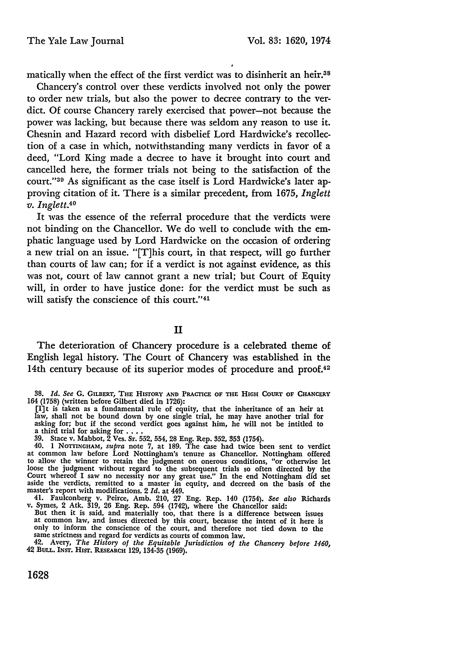matically when the effect of the first verdict was to disinherit an heir.38

Chancery's control over these verdicts involved not only the power to order new trials, but also the power to decree contrary to the verdict. Of course Chancery rarely exercised that power-not because the power was lacking, but because there was seldom any reason to use it. Chesnin and Hazard record with disbelief Lord Hardwicke's recollection of a case in which, notwithstanding many verdicts in favor of a deed, "Lord King made a decree to have it brought into court and cancelled here, the former trials not being to the satisfaction of the court."30 As significant as the case itself is Lord Hardwicke's later approving citation of it. There is a similar precedent, from 1675, *Inglett v. Inglett.40*

It was the essence of the referral procedure that the verdicts were not binding on the Chancellor. We do well to conclude with the emphatic language used **by** Lord Hardwicke on the occasion of ordering a new trial on an issue. "[T]his court, in that respect, will go further than courts of law can; for if a verdict is not against evidence, as this was not, court of law cannot grant a new trial; but Court of Equity will, in order to have justice done: for the verdict must be such as will satisfy the conscience of this court."41

II

The deterioration of Chancery procedure is a celebrated theme of English legal history. The Court of Chancery was established in the 14th century because of its superior modes of procedure and proof.<sup>42</sup>

[I]t is taken as a fundamental rule of equity, that the inheritance of an heir at law, shall not be bound down by one single trial, he may have another trial for asking for; but if the second verdict goes against him, he will not be intitled to a third trial for asking for ....

**39.** Stace v. Mabbot, 2 Ves. Sr. **552,** 554, 28 Eng. Rep. **352, 353** (1754). 40. **1 NOTTINGHAM,** *supra* note **7,** at **189.** The case had twice been sent to verdict at common law before Lord Nottingham's tenure as Chancellor. Nottingham offered to allow the winner to retain the judgment on onerous conditions, "or otherwise let loose the judgment without regard to the subsequent trials so often directed by the Court whereof I saw no necessity nor any great use." In the end Nottingham did set aside the verdicts, remitted to a master in equity, and decreed on the basis of the master's report with modifications. 2 *Id.* at 449.

41. Faulconberg v. Peirce, Amb. 210, 27 Eng. Rep. 140 (1754). See also Richards<br>v. Symes, 2 Atk. 319, 26 Eng. Rep. 594 (1742), where the Chancellor said:<br>But then it is said, and materially too, that there is a difference

only to inform the conscience of the court, and therefore not tied down to the same strictness and regard for verdicts as courts of common law.

42. Avery, *The History of the Equitable Jurisdiction of the Chancery before 1460,* 42 **BULL. INST.** Hisr. **RESEARCH** 129, 134-35 (1969).

**1628**

**<sup>38.</sup>** *Id. See* **G.** GILBERT, THE HISTORY **AND** PRACTICE OF THE **HIGH COURT** OF CHANCERY 164 **(1758)** (written before Gilbert died in **1726):**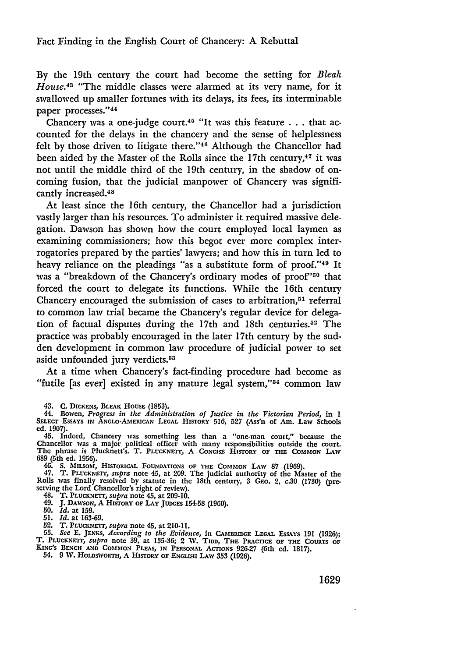By the 19th century the court had become the setting for *Bleak House.43* "The middle classes were alarmed at its very name, for it swallowed up smaller fortunes with its delays, its fees, its interminable paper processes."44

Chancery was a one-judge court.<sup>45</sup> "It was this feature  $\ldots$  that accounted for the delays in the chancery and the sense of helplessness felt by those driven to litigate there."<sup>46</sup> Although the Chancellor had been aided by the Master of the Rolls since the 17th century,<sup>47</sup> it was not until the middle third of the 19th century, in the shadow of oncoming fusion, that the judicial manpower of Chancery was significantly increased.<sup>48</sup>

At least since the 16th century, the Chancellor had a jurisdiction vastly larger than his resources. To administer it required massive delegation. Dawson has shown how the court employed local laymen as examining commissioners; how this begot ever more complex interrogatories prepared by the parties' lawyers; and how this in turn led to heavy reliance on the pleadings "as a substitute form of proof."<sup>49</sup> It was a "breakdown of the Chancery's ordinary modes of proof"<sup>50</sup> that forced the court to delegate its functions. While the 16th century Chancery encouraged the submission of cases to arbitration, $51$  referral to common law trial became the Chancery's regular device for delegation of factual disputes during the 17th and 18th centuries.<sup>52</sup> The practice was probably encouraged in the later 17th century by the sudden development in common law procedure of judicial power to set aside unfounded jury verdicts.<sup>53</sup>

At a time when Chancery's fact-finding procedure had become as "futile [as ever] existed in any mature legal system,"54 common law

**43. C. DICKENS,** BLEAK **HOUSE (1853).**

44. Bowen, *Progress in the Administration of Justice in the Victorian Period,* in 1<br>SELECT ESSAYS IN ANGLO-AMERICAN LEGAL HISTORY 516, 527 (Ass'n of Am. Law Schools **ed. 1907).**

45. Indeed, Chancery was something less than a "one-man court," because the Chancellor was a major political officer with many responsibilities outside the court.<br>The phrase is Plucknett's. T. PLUCKNETT, A CONCISE HISTORY 689 (5th ed. 1956).

46. S. MILSON, HISTORICAL FOUNDATIONS OF THE COMMON LAW 87 (1969).<br>47. T. PLUCKNETT, supra note 45, at 209. The judicial authority of the Master of the<br>Rolls was finally resolved by statute in the 18th century, 3 GEO. 2, c

48. T. PLUCKNErr, supra note 45, at **209-10.** 49. **J. DAwsoN, A** HISTORY **OF LAY JUDGES 154-58 (1960).**

**50.** *Id.* **at 159.**

**51.** *Id.* **at 163-69.**

52. T. PLUCKNETT, supra note 45, at 210-11.<br>53. See E. JENKS, According to the Evidence, in CAMBRIDGE LEGAL ESSAYS 191 (1926);<br>T. PLUCKNETT, supra note 39, at 135-36; 2 W. TIDD. THE PRACTICE OF THE COURTS OF

KING'S BENCH AND COMMON PLEAS, IN PERSONAL ACTIONS 926-27 (6th ed. 1817).

54. **9** IV. HOLDSWORTH, **A** HISTORY **OF ENGLISH** LAw **353 (1926).**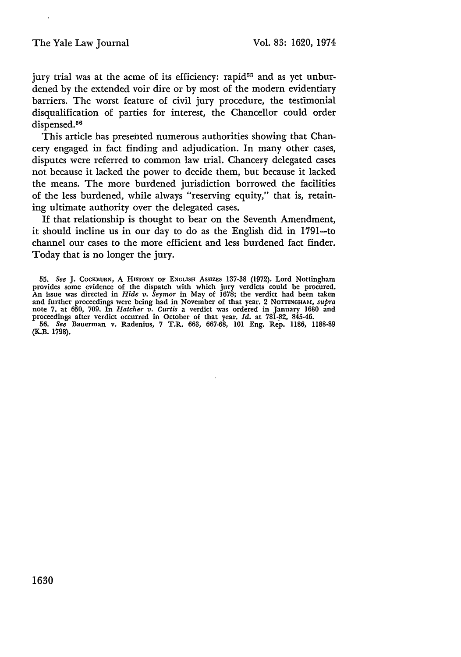jury trial was at the acme of its efficiency: rapid<sup>55</sup> and as yet unburdened by the extended voir dire or by most of the modern evidentiary barriers. The worst feature of civil jury procedure, the testimonial disqualification of parties for interest, the Chancellor could order dispensed.<sup>56</sup>

This article has presented numerous authorities showing that Chancery engaged in fact finding and adjudication. In many other cases, disputes were referred to common law trial. Chancery delegated cases not because it lacked the power to decide them, but because it lacked the means. The more burdened jurisdiction borrowed the facilities of the less burdened, while always "reserving equity," that is, retaining ultimate authority over the delegated cases.

If that relationship is thought to bear on the Seventh Amendment, it should incline us in our day to do as the English did in 1791-to channel our cases to the more efficient and less burdened fact finder. Today that is no longer the jury.

**55.** *See* **J. COCKBURN,** A **HISTORY OF ENGLISH** AssIZEs **137-38** (1972). Lord Nottingham provides some evidence of the dispatch with which jury verdicts could be procured. An issue was directed in *Hide v. Seymor* in May of 1678; the verdict had been taken and further proceedings were being had in November of that year. 2 **NOTTINGHAM,** *supra* note *7,* at 650, 709. In *Hatcher v. Curtis* a verdict was ordered in January 1680 and proceedings after verdict occurred in October of that year. *Id.* at 781-,82, 845-46. **56.** *See* Bauerman v. Radenius, 7 T.R. 663, 667-68, 101 Eng. Rep. 1186, 1188-89 (K.B. 1798).